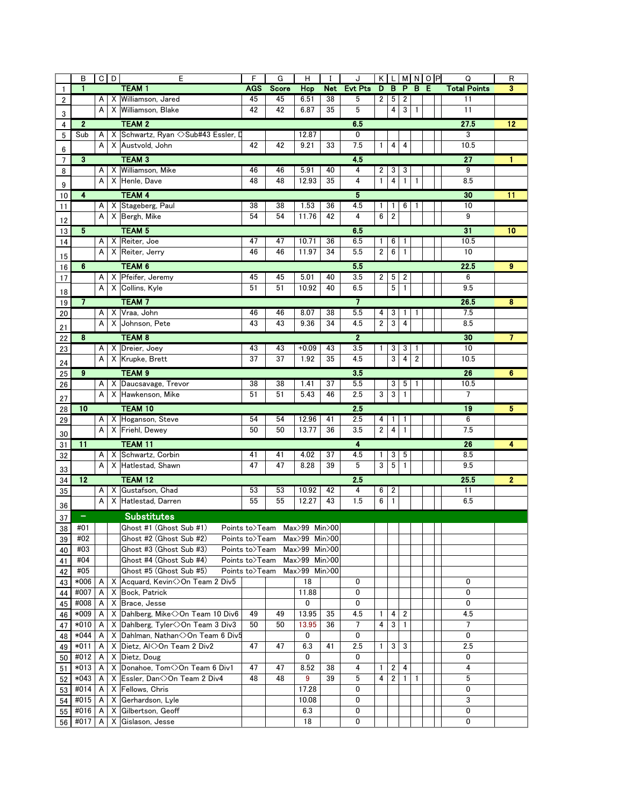|                | B                       |                                                    | $C$ $D$ | Ε                                     | F              | G                            | н                  | I          | J              | $\mathsf{K}$ | L              | MNOP         |                         |  | $\overline{Q}$      | R                       |
|----------------|-------------------------|----------------------------------------------------|---------|---------------------------------------|----------------|------------------------------|--------------------|------------|----------------|--------------|----------------|--------------|-------------------------|--|---------------------|-------------------------|
| $\mathbf{1}$   | $\mathbf{1}$            |                                                    |         | <b>TEAM1</b>                          | AGS            | <b>Score</b>                 | Hcp                | <b>Net</b> | <b>Evt Pts</b> | D            | B              | P            | B E                     |  | <b>Total Points</b> | 3                       |
| 2              |                         | Α                                                  |         | X Williamson, Jared                   | 45             | 45                           | 6.51               | 38         | 5              | 2            | 5              | 2            |                         |  | 11                  |                         |
| 3              |                         | A                                                  |         | X Williamson, Blake                   | 42             | 42                           | 6.87               | 35         | 5              |              | $\overline{4}$ | 3            | 1                       |  | 11                  |                         |
| 4              |                         | <b>TEAM 2</b><br>6.5<br>27.5<br>12<br>$\mathbf{2}$ |         |                                       |                |                              |                    |            |                |              |                |              |                         |  |                     |                         |
| 5              | Sub                     | A                                                  |         | X Schwartz, Ryan <> Sub#43 Essler, D  |                |                              | 12.87              |            | 0              |              |                |              |                         |  | 3                   |                         |
|                |                         | A                                                  |         | X Austvold, John                      | 42             | 42                           | 9.21               | 33         | 7.5            | 1            | 4              | 4            |                         |  | 10.5                |                         |
| 6              |                         |                                                    |         |                                       |                |                              |                    |            |                |              |                |              |                         |  |                     |                         |
| $\overline{7}$ | $\overline{\mathbf{3}}$ |                                                    |         | <b>TEAM 3</b>                         |                |                              |                    |            | 45             |              |                |              |                         |  | $\overline{27}$     |                         |
| 8              |                         | A                                                  |         | X Williamson, Mike                    | 46             | 46                           | 5.91               | 40         | 4              | 2            | 3              | 3            |                         |  | $\overline{9}$      |                         |
| 9              |                         | Α                                                  |         | X Henle, Dave                         | 48             | 48                           | 12.93              | 35         | 4              | $\mathbf{1}$ | 4              | $\mathbf{1}$ | $\mathbf{1}$            |  | 8.5                 |                         |
| 10             | $\overline{4}$          |                                                    |         | <b>TEAM 4</b>                         |                |                              |                    |            | 5              |              |                |              |                         |  | 30                  | $\overline{11}$         |
| 11             |                         | A                                                  |         | X Stageberg, Paul                     | 38             | 38                           | 1.53               | 36         | 4.5            | 1            | 1              | 6            | 1                       |  | 10                  |                         |
| 12             |                         | Α                                                  |         | X Bergh, Mike                         | 54             | 54                           | 11.76              | 42         | 4              | 6            | $\overline{2}$ |              |                         |  | 9                   |                         |
| 13             | $\overline{5}$          |                                                    |         | <b>TEAM 5</b>                         |                |                              |                    |            | 6.5            |              |                |              |                         |  | $\overline{31}$     | 10                      |
| 14             |                         | A                                                  |         | X Reiter, Joe                         | 47             | 47                           | 10.71              | 36         | 6.5            | 1            | 6              | 1            |                         |  | 10.5                |                         |
|                |                         | A                                                  |         | X Reiter, Jerry                       | 46             | 46                           | 11.97              | 34         | 5.5            | 2            | 6              | $\mathbf{1}$ |                         |  | 10                  |                         |
| 15             |                         |                                                    |         |                                       |                |                              |                    |            |                |              |                |              |                         |  |                     |                         |
| 16             | $\overline{6}$          |                                                    |         | <b>TEAM 6</b>                         |                |                              |                    |            | 5.5            |              |                |              |                         |  | 22.5                | $\overline{\mathbf{g}}$ |
| 17             |                         | Α                                                  |         | X Pfeifer, Jeremy                     | 45             | 45                           | 5.01               | 40         | 3.5            | 2            | 5              | 2            |                         |  | 6                   |                         |
| 18             |                         | A                                                  |         | X Collins, Kyle                       | 51             | 51                           | 10.92              | 40         | 6.5            |              | 5              | $\mathbf{1}$ |                         |  | 9.5                 |                         |
| 19             | 7                       |                                                    |         | <b>TEAM7</b>                          |                |                              |                    |            | $\overline{7}$ |              |                |              |                         |  | 26.5                | 8                       |
| 20             |                         | A                                                  |         | X Vraa, John                          | 46             | 46                           | 8.07               | 38         | 5.5            | 4            | 3              | 1            | 1                       |  | 7.5                 |                         |
| 21             |                         | A                                                  |         | X Johnson, Pete                       | 43             | 43                           | 9.36               | 34         | 4.5            | 2            | 3              | 4            |                         |  | 8.5                 |                         |
| 22             | 8                       |                                                    |         | <b>TEAM 8</b>                         |                |                              |                    |            | $\mathbf{2}$   |              |                |              |                         |  | 30                  | 7                       |
|                |                         | A                                                  |         | X Dreier, Joey                        | 43             | 43                           | $+0.09$            | 43         | 3.5            | 1            | 3              | 3            | 1                       |  | 10                  |                         |
| 23             |                         | A                                                  |         | X Krupke, Brett                       | 37             | 37                           | 1.92               | 35         | 4.5            |              | 3              | 4            | $\overline{\mathbf{c}}$ |  | 10.5                |                         |
| 24             |                         |                                                    |         |                                       |                |                              |                    |            |                |              |                |              |                         |  |                     |                         |
| 25             | $\overline{9}$          |                                                    |         | TEAM <sub>9</sub>                     |                |                              |                    |            | 3.5            |              |                |              |                         |  | 26                  | 6                       |
| 26             |                         | A                                                  |         | X Daucsavage, Trevor                  | 38             | 38                           | 1.41               | 37         | 5.5            |              | 3              | 5            | 1                       |  | 10.5                |                         |
| 27             |                         | A                                                  |         | X Hawkenson, Mike                     | 51             | 51                           | 5.43               | 46         | 2.5            | 3            | 3              | $\mathbf{1}$ |                         |  | 7                   |                         |
| 28             | $\overline{10}$         |                                                    |         | <b>TEAM 10</b>                        |                |                              |                    |            | 25             |              |                |              |                         |  | 19                  | 5                       |
| 29             |                         | A                                                  |         | X Hoganson, Steve                     | 54             | 54                           | 12.96              | 41         | 2.5            | 4            | -1             | 1            |                         |  | 6                   |                         |
|                |                         | A                                                  |         | X Friehl, Dewey                       | 50             | 50                           | 13.77              | 36         | 3.5            | 2            | 4              | 1            |                         |  | 7.5                 |                         |
| 30<br>31       | $\overline{11}$         |                                                    |         | TEAM 11                               |                |                              |                    |            | 4              |              |                |              |                         |  | 26                  | 4                       |
| 32             |                         | A                                                  |         | X Schwartz, Corbin                    | 41             | 41                           | 4.02               | 37         | 4.5            | 1            | 3              | 5            |                         |  | 8.5                 |                         |
|                |                         | A                                                  |         | X Hatlestad, Shawn                    | 47             | 47                           | 8.28               | 39         | 5              | 3            | 5              | $\mathbf{1}$ |                         |  | 9.5                 |                         |
| 33             |                         |                                                    |         |                                       |                |                              |                    |            |                |              |                |              |                         |  |                     |                         |
| 34             | $\overline{12}$         |                                                    |         | <b>TEAM 12</b>                        |                |                              |                    |            | 2.5            |              |                |              |                         |  | 25.5                | $\overline{2}$          |
| 35             |                         | A                                                  | X       | Gustafson, Chad                       | 53             | 53                           | 10.92              | 42         | 4              | 6            | 2              |              |                         |  | 11                  |                         |
| 36             |                         | A                                                  |         | X Hatlestad, Darren                   | 55             | 55                           | 12.27              | 43         | 1.5            | 6            | $\mathbf{1}$   |              |                         |  | 6.5                 |                         |
| 37             |                         |                                                    |         | <b>Substitutes</b>                    |                |                              |                    |            |                |              |                |              |                         |  |                     |                         |
| 38             | #01                     |                                                    |         | Ghost #1 (Ghost Sub #1)               |                | Points to>Team Max>99 Min>00 |                    |            |                |              |                |              |                         |  |                     |                         |
| 39             | #02                     |                                                    |         | Ghost #2 (Ghost Sub #2)               |                | Points to>Team Max>99 Min>00 |                    |            |                |              |                |              |                         |  |                     |                         |
| 40             | #03                     |                                                    |         | Ghost #3 (Ghost Sub #3)               |                | Points to>Team Max>99 Min>00 |                    |            |                |              |                |              |                         |  |                     |                         |
| 41             | #04                     |                                                    |         | Ghost #4 (Ghost Sub #4)               | Points to>Team |                              | $Max>99$ Min $>00$ |            |                |              |                |              |                         |  |                     |                         |
| 42             | #05                     |                                                    |         | Ghost #5 (Ghost Sub #5)               | Points to>Team |                              | Max>99 Min>00      |            |                |              |                |              |                         |  |                     |                         |
| 43             | *006                    | A                                                  |         | X Acquard, Kevin < >> Con Team 2 Div5 |                |                              | 18                 |            | 0              |              |                |              |                         |  | 0                   |                         |
| 44             | #007                    | A                                                  |         | X Bock, Patrick                       |                |                              | 11.88              |            | 0              |              |                |              |                         |  | $\mathbf{0}$        |                         |
| 45             | #008                    | A                                                  |         | X Brace, Jesse                        |                |                              | 0                  |            | 0              |              |                |              |                         |  | 0                   |                         |
| 46             | *009                    | A                                                  |         | X Dahlberg, Mike < > On Team 10 Div6  | 49             | 49                           | 13.95              | 35         | 4.5            | 1            | 4              | 2            |                         |  | 4.5                 |                         |
| 47             | *010                    | A                                                  |         | X Dahlberg, Tyler < > On Team 3 Div3  | 50             | 50                           | 13.95              | 36         | 7              | 4            | 3              | -1           |                         |  | $\overline{7}$      |                         |
| 48             | *044                    | A                                                  |         | X Dahlman, Nathan <> On Team 6 Div5   |                |                              | 0                  |            | 0              |              |                |              |                         |  | 0                   |                         |
| 49             | $*011$                  | A                                                  |         | X Dietz, AK>On Team 2 Div2            | 47             | 47                           | 6.3                | 41         | 2.5            | 1            | 3              | 3            |                         |  | 2.5                 |                         |
| 50             | #012                    | A                                                  |         | X Dietz, Doug                         |                |                              | 0                  |            | 0              |              |                |              |                         |  | 0                   |                         |
| 51             | *013                    | A                                                  |         | X Donahoe, Tom<>On Team 6 Div1        | 47             | 47                           | 8.52               | 38         | 4              | 1            | 2              | 4            |                         |  | 4                   |                         |
| 52             | *043                    | A                                                  |         | X Essler, Dan<>On Team 2 Div4         | 48             | 48                           | 9                  | 39         | 5              | 4            | 2              | $\mathbf{1}$ | 1                       |  | 5                   |                         |
| 53             | #014                    | A                                                  |         | X Fellows, Chris                      |                |                              | 17.28              |            | 0              |              |                |              |                         |  | 0                   |                         |
| 54             | #015                    | A                                                  |         | X Gerhardson, Lyle                    |                |                              | 10.08              |            | 0              |              |                |              |                         |  | 3                   |                         |
| 55             | #016                    | A                                                  |         | X Gilbertson, Geoff                   |                |                              | 6.3                |            | 0              |              |                |              |                         |  | 0                   |                         |
|                | 56 #017                 | A                                                  |         | X Gislason, Jesse                     |                |                              | 18                 |            | 0              |              |                |              |                         |  | 0                   |                         |
|                |                         |                                                    |         |                                       |                |                              |                    |            |                |              |                |              |                         |  |                     |                         |